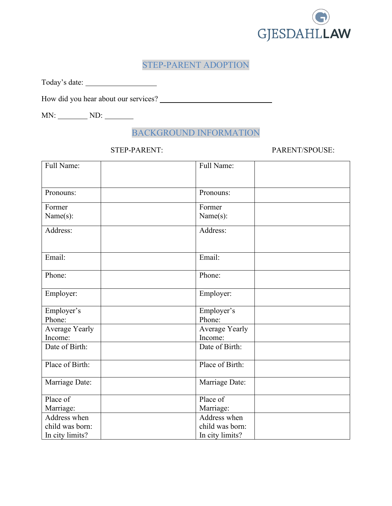

# STEP-PARENT ADOPTION

Today's date:

How did you hear about our services?

MN: ND: ND:

# BACKGROUND INFORMATION

### STEP-PARENT: PARENT/SPOUSE:

| Full Name:           | Full Name:           |
|----------------------|----------------------|
|                      |                      |
| Pronouns:            | Pronouns:            |
| Former               | Former               |
| Name(s):             | Name(s):             |
| Address:             | Address:             |
|                      |                      |
| Email:               | Email:               |
|                      |                      |
| Phone:               | Phone:               |
| Employer:            | Employer:            |
|                      |                      |
| Employer's<br>Phone: | Employer's<br>Phone: |
| Average Yearly       | Average Yearly       |
| Income:              | Income:              |
| Date of Birth:       | Date of Birth:       |
| Place of Birth:      | Place of Birth:      |
|                      |                      |
| Marriage Date:       | Marriage Date:       |
| Place of             | Place of             |
| Marriage:            | Marriage:            |
| Address when         | Address when         |
| child was born:      | child was born:      |
| In city limits?      | In city limits?      |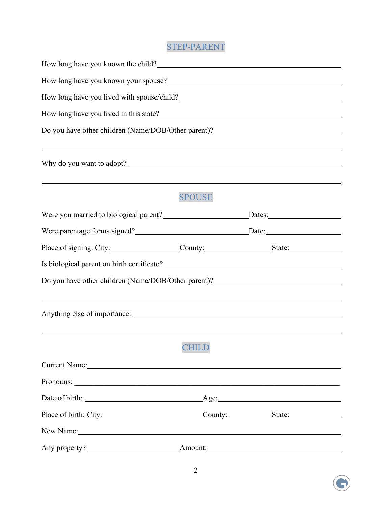# STEP-PARENT

| How long have you known the child?<br><u>Letting</u> the contract of the child of the child of the contract of the child of the contract of the child of the child of the child of the child of the child of the child of the child o  |               |  |  |  |
|----------------------------------------------------------------------------------------------------------------------------------------------------------------------------------------------------------------------------------------|---------------|--|--|--|
| How long have you known your spouse?<br><u>Letter and the contract of the set of the set of the set of the set of the set of the set of the set of the set of the set of the set of the set of the set of the set of the set of th</u> |               |  |  |  |
|                                                                                                                                                                                                                                        |               |  |  |  |
| Do you have other children (Name/DOB/Other parent)?_____________________________                                                                                                                                                       |               |  |  |  |
|                                                                                                                                                                                                                                        |               |  |  |  |
| Why do you want to adopt?                                                                                                                                                                                                              |               |  |  |  |
| ,我们也不会有什么。""我们的人,我们也不会有什么?""我们的人,我们也不会有什么?""我们的人,我们也不会有什么?""我们的人,我们也不会有什么?""我们的人                                                                                                                                                       | <b>SPOUSE</b> |  |  |  |
|                                                                                                                                                                                                                                        |               |  |  |  |
|                                                                                                                                                                                                                                        |               |  |  |  |
| Place of signing: City: __________________County: _______________________State: ______________________________                                                                                                                         |               |  |  |  |
|                                                                                                                                                                                                                                        |               |  |  |  |
| Do you have other children (Name/DOB/Other parent)?_____________________________                                                                                                                                                       |               |  |  |  |
|                                                                                                                                                                                                                                        |               |  |  |  |
|                                                                                                                                                                                                                                        |               |  |  |  |
|                                                                                                                                                                                                                                        |               |  |  |  |
|                                                                                                                                                                                                                                        | CHILD         |  |  |  |
| Current Name: Name and Second Current Name and Second Current Name and Second Current Name and Second Current Name and Second Current Name and Second Current Name and Second Current Second Current Second Current Second Cur         |               |  |  |  |
|                                                                                                                                                                                                                                        |               |  |  |  |
|                                                                                                                                                                                                                                        |               |  |  |  |
| Place of birth: City: County: County: State:                                                                                                                                                                                           |               |  |  |  |
| New Name: New Name:                                                                                                                                                                                                                    |               |  |  |  |
|                                                                                                                                                                                                                                        |               |  |  |  |